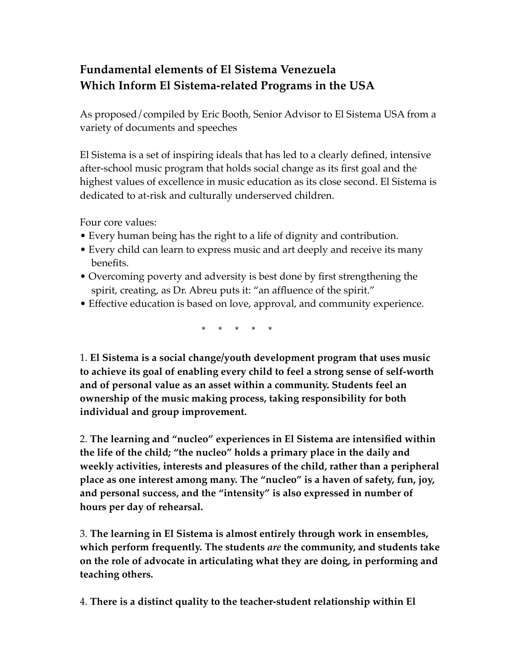## **Fundamental elements of El Sistema Venezuela Which Inform El Sistema-related Programs in the USA**

As proposed/compiled by Eric Booth, Senior Advisor to El Sistema USA from a variety of documents and speeches

El Sistema is a set of inspiring ideals that has led to a clearly defined, intensive after-school music program that holds social change as its first goal and the highest values of excellence in music education as its close second. El Sistema is dedicated to at-risk and culturally underserved children.

Four core values:

- Every human being has the right to a life of dignity and contribution.
- Every child can learn to express music and art deeply and receive its many benefits.
- Overcoming poverty and adversity is best done by first strengthening the spirit, creating, as Dr. Abreu puts it: "an affluence of the spirit."
- Effective education is based on love, approval, and community experience.

\* \* \* \* \*

1. **El Sistema is a social change/youth development program that uses music to achieve its goal of enabling every child to feel a strong sense of self-worth and of personal value as an asset within a community. Students feel an ownership of the music making process, taking responsibility for both individual and group improvement.**

2. **The learning and "nucleo" experiences in El Sistema are intensified within the life of the child; "the nucleo" holds a primary place in the daily and weekly activities, interests and pleasures of the child, rather than a peripheral place as one interest among many. The "nucleo" is a haven of safety, fun, joy, and personal success, and the "intensity" is also expressed in number of hours per day of rehearsal.** 

3. **The learning in El Sistema is almost entirely through work in ensembles, which perform frequently. The students** *are* **the community, and students take on the role of advocate in articulating what they are doing, in performing and teaching others.** 

4. **There is a distinct quality to the teacher-student relationship within El**